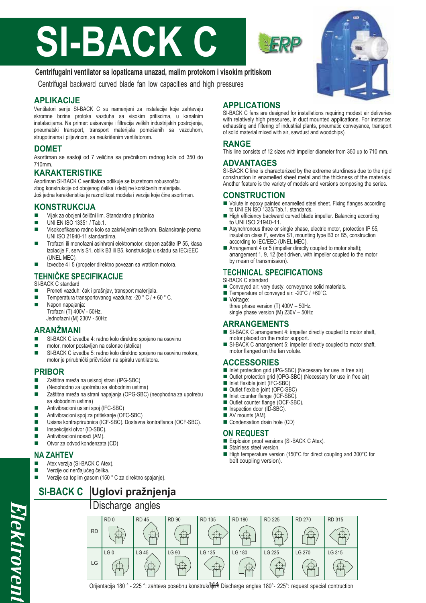# **SI-BACK C**

## **Centrifugalni ventilator sa lopaticama unazad, malim protokom i visokim pritiskom**

Centrifugal backward curved blade fan low capacities and high pressures

#### **APLIKACIJE**

Ventilatori serije SI-BACK C su namenjeni za instalacije koje zahtevaju skromne brzine protoka vazduha sa visokim pritiscima, u kanalnim instalacijama. Na primer: usisavanje i filtracija velikih industrijskih postrojenja, pneumatski transport, transport materijala pomešanih sa vazduhom, strugotinama i piljevinom, sa neukrštenim ventilatorom.

#### **DOMET**

Asortiman se sastoji od 7 veličina sa prečnikom radnog kola od 350 do 710mm.

#### **KARAKTERISTIKE**

Asortiman SI-BACK C ventilatora odlikuje se izuzetnom robusnošću zbog konstrukcije od obojenog čelika i debljine korišćenih materijala. Još jedna karakteristika je raznolikost modela i verzija koje čine asortiman.

#### **KONSTRUKCIJA**

- Vijak za obojeni čelični lim. Standardna prirubnica
- **UNI EN ISO 13351 / Tab.1.**
- Visokoefikasno radno kolo sa zakrivljenim sečivom. Balansiranje prema UNI ISO 21940-11 standardima.
- Trofazni ili monofazni asinhroni elektromotor, stepen zaštite IP 55, klasa izolacije F, servis S1, oblik B3 ili B5, konstrukcija u skladu sa IEC/EEC (UNEL MEC).
- $\blacksquare$  Izvedbe 4 i 5 (propeler direktno povezan sa vratilom motora.

#### **TEHNIČKE SPECIFIKACIJE** SI-BACK C standard

- **Preneti vazduh: čak i prašnjav, transport materijala.**
- Temperatura transportovanog vazduha: -20 ° C / + 60 ° C.
- Napon napajanja:
- Trofazni (T) 400V 50Hz. Jednofazni (M) 230V - 50Hz

#### **ARANŽMANI**

- SI-BACK C izvedba 4: radno kolo direktno spojeno na osovinu
- motor, motor postavljen na oslonac (stolica)
- SI-BACK C izvedba 5: radno kolo direktno spojeno na osovinu motora, motor je prirubnički pričvršćen na spiralu ventilatora.

#### **PRIBOR**

- Zaštitna mreža na usisnoj strani (IPG-SBC)
- (Neophodno za upotrebu sa slobodnim ustima)
- Zaštitna mreža na strani napajanja (OPG-SBC) (neophodna za upotrebu sa slobodnim ustima)
- Antivibracioni usisni spoj (IFC-SBC)
- Antivibracioni spoj za pritiskanje (OFC-SBC)
- Usisna kontraprirubnica (ICF-SBC). Dostavna kontraflanca (OCF-SBC).
- Inspekcijski otvor (ID-SBC).
- Antivibracioni nosači (AM).
- Otvor za odvod kondenzata (CD)

### **NA ZAHTEV**

- Atex verzija (SI-BACK C Atex).
- Verzije od nerđajućeg čelika.
- Verzije sa toplim gasom (150 ° C za direktno spajanje).

# **SI-BACK C Uglovi pražnjenja**

## Discharge angles

### **APPLICATIONS**

SI-BACK C fans are designed for installations requiring modest air deliveries with relatively high pressures, in duct mounted applications. For instance: exhausting and filtering of industrial plants, pneumatic conveyance, transport of solid material mixed with air, sawdust and woodchips).

#### **RANGE**

This line consists of 12 sizes with impeller diameter from 350 up to 710 mm.

#### **ADVANTAGES**

SI-BACK C line is characterized by the extreme sturdiness due to the rigid construction in enamelled sheet metal and the thickness of the materials. Another feature is the variety of models and versions composing the series.

#### **CONSTRUCTION**

- Volute in epoxy painted enamelled steel sheet. Fixing flanges according to UNI EN ISO 1335/Tab.1. standards.
- High efficiency backward curved blade impeller. Balancing according to UNI ISO 21940-11.
- Asynchronous three or single phase, electric motor, protection IP 55, insulation class F, service S1, mounting type B3 or B5, construction according to IEC/EEC (UNEL MEC).
- Arrangement 4 or 5 (impeller directly coupled to motor shaft); arrangement 1, 9, 12 (belt driven, with impeller coupled to the motor by mean of transmission).

#### T**ECHNICAL SPECIFICATIONS**

- SI-BACK C standard
- Conveyed air: very dusty, conveyence solid materials.
- Temperature of conveyed air: -20°C / +60°C.
- Voltage: three phase version (T) 400V – 50Hz. single phase version (M) 230V – 50Hz

#### **ARRANGEMENTS**

- SI-BACK C arrangement 4: impeller directly coupled to motor shaft, motor placed on the motor support.
- SI-BACK C arrangement 5: impeller directly coupled to motor shaft, motor flanged on the fan volute.

#### **ACCESSORIES**

- Inlet protection grid (IPG-SBC) (Necessary for use in free air)
- Outlet protection grid (OPG-SBC) (Necessary for use in free air)
- $\blacksquare$  Inlet flexible joint (IFC-SBC)
- Outlet flexible joint (OFC-SBC)
- Inlet counter flange (ICF-SBC)
- Outlet counter flange (OCF-SBC).
- Inspection door (ID-SBC).
- AV mounts (AM).
- Condensation drain hole (CD)

#### **ON REQUEST**

- Explosion proof versions (SI-BACK C Atex).
- Stainless steel version. ■ High temperature version (150°C for direct coupling and 300°C for belt coupling version).

|           | ັ               | ັ            |              |               |               |               |               |        |
|-----------|-----------------|--------------|--------------|---------------|---------------|---------------|---------------|--------|
|           | RD <sub>0</sub> | <b>RD 45</b> | <b>RD 90</b> | <b>RD 135</b> | <b>RD 180</b> | <b>RD 225</b> | <b>RD 270</b> | RD 315 |
| <b>RD</b> |                 |              |              |               |               |               |               |        |
|           | LG <sub>0</sub> | LG 45        | LG 90        | LG 135        | <b>LG 180</b> | LG 225        | LG 270        | LG 315 |
| LG        |                 |              |              |               |               |               |               |        |



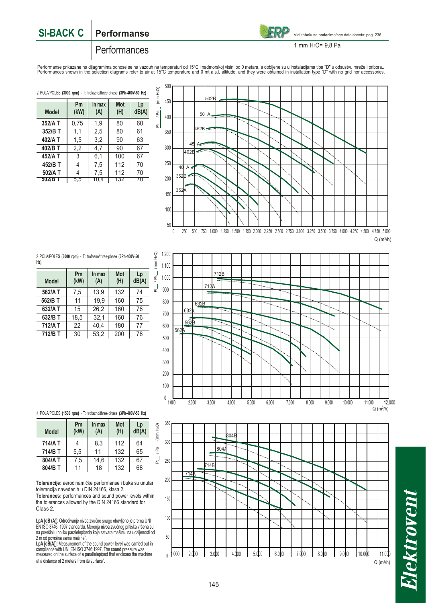#### **SI-BACK C Performanse**



Vidi tabelu sa podacima/see data sheets: pag. 236

#### **Performances**

1 mm H2O= 9,8 Pa

Performanse prikazane na dijagramima odnose se na vazduh na temperaturi od 15°C i nadmorskoj visini od 0 metara, a dobijene su u instalacijama tipa "D" u odsustvu mreže i pribora..<br>Performances shown in the selection diagr

2 POLA/POLES **(3000 rpm)** - T: trofazno/three-phase **(3Ph-400V-50 Hz)**

| <b>Model</b> | Pm<br>(kW) | In max<br>(A) | Mot<br>(H) | Lp<br>dB(A) |  |  |
|--------------|------------|---------------|------------|-------------|--|--|
| 352/A T      | 0,75       | 1.9           | 80         | 60          |  |  |
| 352/B T      | 1,1        | 2,5           | 80         | 61          |  |  |
| 402/A T      | 1.5        | 3.2           | 90         | 63          |  |  |
| 402/B T      | 2,2        | 4.7           | 90         | 67          |  |  |
| 452/A T      | 3          | 6,1           | 100        | 67          |  |  |
| 452/B T      | 4          | 7,5           | 112        | 70          |  |  |
| 502/A T      | 4          | 7,5           | 112        | 70          |  |  |
| 502/B        | 5,5        | 10.4          | T32        | 7U          |  |  |



2 POLA/POLES **(3000 rpm)** - T: trofazno/three-phase **(3Ph-400V-50 Hz)**

| <b>Model</b> | Pm<br>(kW) | In max<br>(A) | <b>Mot</b><br>(H) | Lp<br>dB(A) |  |  |
|--------------|------------|---------------|-------------------|-------------|--|--|
| 562/A T      | 7,5        | 13.9          | 132               | 74          |  |  |
| 562/B T      | 11         | 19,9          | 160               | 75          |  |  |
| 632/A T      | 15         | 26,2          | 160               | 76          |  |  |
| 632/B T      | 18,5       | 32,1          | 160               | 76          |  |  |
| 712/A T      | 22         | 40.4          | 180               | 77          |  |  |
| 712/B T      | 30         | 53,2          | 200               | 78          |  |  |



4 POLA/POLES **(1500 rpm)** - T: trofazno/three-phase **(3Ph-400V-50 Hz)**

| <b>Model</b> | Pm<br>(kW) | In max<br>(A) | Mot<br>(H) | Lp<br>dB(A) |  |
|--------------|------------|---------------|------------|-------------|--|
| 714/A T      |            | 8,3           | 112        | 64          |  |
| 714/B T      | 5,5        | 11            | 132        | 65          |  |
| 804/A T      | 7,5        | 14,6          | 132        | 67          |  |
| $804/B$ T    | 11         | 18            | 132        | 68          |  |

**Tolerancije:** aerodinamičke performanse i buka su unutar tolerancija navedenih u DIN 24166, klasa 2. **Tolerances:** performances and sound power levels within the tolerances allowed by the DIN 24166 standard for Class 2.

**LpA [dB (A**)]: Određivanje nivoa zvučne snage obavljeno je prema UNI<br>EN ISO 3746: 1997 standardu. Merenja nivoa zvučnog pritiska vršena su<br>na površini u obliku paralelepipeda koja zatvara mašinu, na udaljenosti od 2 m od površina same mašine".

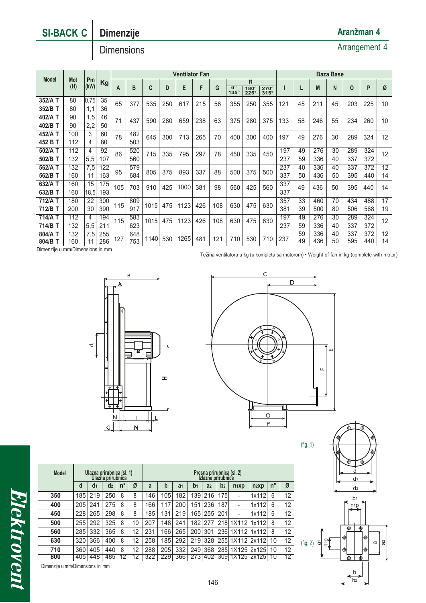# **SI-BACK C Dimenzije**

# **Dimensions**

| <b>Ventilator Fan</b>                                                                                                                                                       | <b>Baza Base</b> |  |             |            |                 |  |  |
|-----------------------------------------------------------------------------------------------------------------------------------------------------------------------------|------------------|--|-------------|------------|-----------------|--|--|
| <b>Model</b><br><b>Mot</b><br>Pm<br>н<br>Kg                                                                                                                                 |                  |  |             |            |                 |  |  |
| (kW)<br>(H)<br>F<br>B<br>C<br>E<br>G<br>D<br>M<br>$\overline{\mathbf{0}}^{\circ}$<br>А<br>$180^\circ$<br>$270^\circ$<br>$135^\circ$<br>$315^\circ$<br>$225^\circ$           | N                |  | $\mathbf 0$ | P          | Ø               |  |  |
| 35<br>352/A T<br>80<br>0,75<br>65<br>377<br>535<br>215<br>56<br>355<br>121<br>45<br>250<br>617<br>250<br>355<br>211                                                         | 45               |  | 203         | 225        | 10              |  |  |
| 36<br>352/B T<br>80<br>1,1                                                                                                                                                  |                  |  |             |            |                 |  |  |
| 402/A T<br>1,5<br>46<br>90<br>71<br>437<br>238<br>63<br>375<br>375<br>133<br>58<br>590<br>280<br>659<br>280<br>246                                                          | 55               |  | 234         | 260        | 10              |  |  |
| 402/B T<br>2,2<br>50<br>90                                                                                                                                                  |                  |  |             |            |                 |  |  |
| 3<br>482<br>452/A T<br>60<br>100<br>78<br>645<br>265<br>300<br>713<br>70<br>197<br>49<br>400<br>300<br>400<br>276                                                           | 30               |  | 289         | 324        | 12              |  |  |
| 452 B T<br>503<br>112<br>80<br>4                                                                                                                                            |                  |  |             |            |                 |  |  |
| 112<br>92<br>197<br>502/A T<br>520<br>49<br>276<br>4<br>86<br>78<br>335<br>715<br>335<br>795<br>297<br>450<br>450                                                           | 30               |  | 289         | 324        | 12 <sup>2</sup> |  |  |
| 502/B T<br>132<br>5,5<br>107<br>560<br>237<br>336<br>59                                                                                                                     | 40               |  | 337         | 372        |                 |  |  |
| 122<br>562/A T<br>132<br>579<br>237<br>336<br>7,5<br>40                                                                                                                     | 40               |  | 337         | 372        | 12              |  |  |
| 805<br>375<br>893<br>337<br>88<br>375<br>95<br>500<br>500<br>163<br>684<br>562/B T<br>337<br>436<br>160<br>50<br>11                                                         | 50               |  | 395         | 440        | 14              |  |  |
| 175<br>15<br>337<br>632/A T<br>160<br>1000<br>105<br>98<br>425<br>560<br>49<br>703<br>910<br>425<br>381<br>560<br>436                                                       | 50               |  | 395         | 440        | 14              |  |  |
| 632/B T<br>193<br>337<br>160<br>18,5                                                                                                                                        |                  |  |             |            |                 |  |  |
| 300<br>357<br>33<br>712/A T<br>22<br>809<br>460<br>180                                                                                                                      | 70               |  | 434         | 488        | 17              |  |  |
| 1123<br>426<br>108<br>630<br>475<br>630<br>115<br>1015<br>475<br>917<br>390<br>381<br>712/B T<br>30<br>39<br>500<br>200                                                     | 80               |  | 506         | 568        | 19              |  |  |
| 194<br>197<br>714/A T<br>112<br>583<br>276<br>49<br>4<br>1015<br>630<br>115<br>475<br>1123<br>426<br>108<br>630<br>475                                                      | 30               |  | 289         | 324        | 12              |  |  |
| 211<br>623<br>237<br>714/B T<br>132<br>5,5<br>59<br>336                                                                                                                     | 40               |  | 337         | 372        |                 |  |  |
| 59<br>336<br>255<br>804/A T<br>132<br>7,5<br>648<br>1265<br>1140<br>237<br>127<br>530<br>481<br>121<br>710<br>530<br>710<br>49<br>436<br>753<br>160<br>286<br>804/B T<br>11 | 40<br>50         |  | 337<br>595  | 372<br>440 | 12<br>14        |  |  |

Dimenzije u mm/Dimensions in mm

Težina ventilatora u kg (u kompletu sa motorom) • Weight of fan in kg (complete with motor)





(fig. 1)



Elektrovent

| <b>Model</b>                    |     | Ulazna prirubnica (sl. 1) | Ulazna prirubnica |             |              |     | Presna prirubnica (sl. 2)<br>Izlazne prirubnice |                |                  |                |                |                                    |         |             |    |
|---------------------------------|-----|---------------------------|-------------------|-------------|--------------|-----|-------------------------------------------------|----------------|------------------|----------------|----------------|------------------------------------|---------|-------------|----|
|                                 | d   | d <sub>1</sub>            | d <sub>2</sub>    | $n^{\circ}$ | Ø            | a   | b                                               | a <sub>1</sub> | b <sub>1</sub>   | a <sub>2</sub> | b <sub>2</sub> | n <sub>1</sub> xp                  | $n_2xp$ | $n^{\circ}$ | Ø  |
| 350                             | 185 | 219                       | 250               | 8           | 8            | 146 | 105                                             | 182            | 139 <sup>1</sup> | 216            | 175            |                                    | 1x112   | 6           | 12 |
| 400                             | 205 | 241                       | 275               | 8           | 8            | 166 | 117                                             | 200            | 151              | 236            | 187            | ٠                                  | 1x112   | 6           | 12 |
| 450                             | 228 | 265                       | 298               | 8           | 8            | 185 | 131                                             | 219            |                  | 165 255        | 201            | ٠                                  | 1x112   | 6           | 12 |
| 500                             | 255 | 292                       | 325               | 8           | 10           | 207 | 148                                             | 241            | 182              | 277            |                | 218 1 X 1 1 2                      | 1x112   | 8           | 12 |
| 560                             | 285 | 332                       | 365               | 8           | 12           | 231 | 166                                             | 265            |                  | 200 301        |                | 236 1X112  1x112                   |         | 8           | 12 |
| 630                             | 320 | 366                       | 400               | 8           | 12           | 258 | 185                                             | 292            |                  |                |                | 219 328 255 1X112 2x112            |         | 10          | 12 |
| 710                             | 360 | 405                       | 440               | 8           | 12           | 288 | 205                                             | 332            |                  |                |                | 249 368 285 1X125 2x125            |         | 10          | 12 |
| 800                             |     | 405 448                   | 485 12            |             | $12^{\circ}$ | 322 |                                                 |                |                  |                |                | 229 366 273 402 309 1X125 2x125 10 |         |             | 12 |
| Dimenzije u mm/Dimensions in mm |     |                           |                   |             |              |     |                                                 |                |                  |                |                |                                    |         |             |    |

**Aranžman 4**

# Arrangement 4